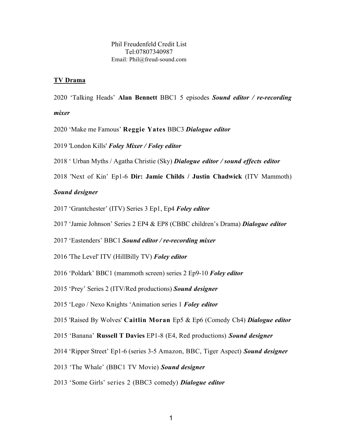## **TV Drama**

2020 'Talking Heads' **Alan Bennett** BBC1 5 episodes *Sound editor / re-recording* 

## *mixer*

- 2020 'Make me Famous' **Reggie Yates** BBC3 *Dialogue editor*
- 2019 'London Kills' *Foley Mixer / Foley editor*
- 2018 ' Urban Myths / Agatha Christie (Sky) *Dialogue editor / sound effects editor*
- 2018 'Next of Kin' Ep1-6 **Dir: Jamie Childs / Justin Chadwick** (ITV Mammoth)

## *Sound designer*

- 2017 'Grantchester' (ITV) Series 3 Ep1, Ep4 *Foley editor*
- 2017 'Jamie Johnson' Series 2 EP4 & EP8 (CBBC children's Drama) *Dialogue editor*
- 2017 'Eastenders' BBC1 *Sound editor / re-recording mixer*
- 2016 'The Level' ITV (HillBilly TV) *Foley editor*
- 2016 'Poldark' BBC1 (mammoth screen) series 2 Ep9-10 *Foley editor*
- 2015 'Prey' Series 2 (ITV/Red productions) *Sound designer*
- 2015 'Lego / Nexo Knights 'Animation series 1 *Foley editor*
- 2015 'Raised By Wolves' **Caitlin Moran** Ep5 & Ep6 (Comedy Ch4) *Dialogue editor*
- 2015 'Banana' **Russell T Davies** EP1-8 (E4, Red productions) *Sound designer*
- 2014 'Ripper Street' Ep1-6 (series 3-5 Amazon, BBC, Tiger Aspect) *Sound designer*
- 2013 'The Whale' (BBC1 TV Movie) *Sound designer*
- 2013 'Some Girls' series 2 (BBC3 comedy) *Dialogue editor*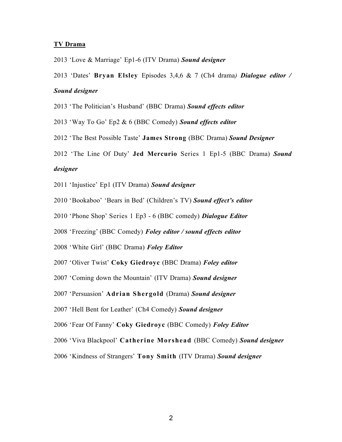#### **TV Drama**

2013 'Love & Marriage' Ep1-6 (ITV Drama) *Sound designer*

2013 'Dates' **Bryan Elsley** Episodes 3,4,6 & 7 (Ch4 drama*) Dialogue editor /* 

### *Sound designer*

- 2013 'The Politician's Husband' (BBC Drama) *Sound effects editor*
- 2013 'Way To Go' Ep2 & 6 (BBC Comedy) *Sound effects editor*
- 2012 'The Best Possible Taste' **James Strong** (BBC Drama) *Sound Designer*
- 2012 'The Line Of Duty' **Jed Mercurio** Series 1 Ep1-5 (BBC Drama) *Sound*

### *designer*

- 2011 'Injustice' Ep1 (ITV Drama) *Sound designer*
- 2010 'Bookaboo' 'Bears in Bed' (Children's TV) *Sound effect's editor*
- 2010 'Phone Shop' Series 1 Ep3 6 (BBC comedy) *Dialogue Editor*
- 2008 'Freezing' (BBC Comedy) *Foley editor / sound effects editor*
- 2008 'White Girl' (BBC Drama) *Foley Editor*
- 2007 'Oliver Twist' **Coky Giedroyc** (BBC Drama) *Foley editor*
- 2007 'Coming down the Mountain' (ITV Drama) *Sound designer*
- 2007 'Persuasion' **Adrian Shergold** (Drama) *Sound designer*
- 2007 'Hell Bent for Leather' (Ch4 Comedy) *Sound designer*
- 2006 'Fear Of Fanny' **Coky Giedroyc** (BBC Comedy) *Foley Editor*
- 2006 'Viva Blackpool' **Catherine Morshead** (BBC Comedy) *Sound designer*
- 2006 'Kindness of Strangers' **Tony Smith** (ITV Drama) *Sound designer*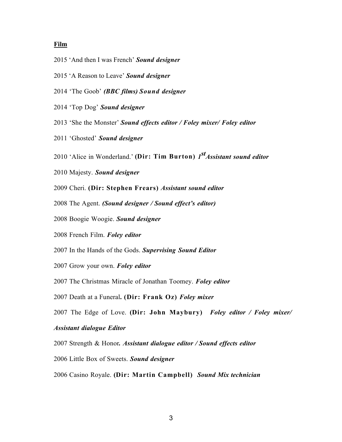## **Film**

- 2015 'And then I was French' *Sound designer*
- 2015 'A Reason to Leave' *Sound designer*
- 'The Goob' *(BBC films) Sound designer*
- 'Top Dog' *Sound designer*
- 'She the Monster' *Sound effects editor / Foley mixer/ Foley editor*
- 'Ghosted' *Sound designer*
- 'Alice in Wonderland.' **(Dir: Tim Burton)** *<sup>1</sup>stAssistant sound editor*
- Majesty. *Sound designer*
- Cheri. **(Dir: Stephen Frears)** *Assistant sound editor*
- The Agent. *(Sound designer / Sound effect's editor)*
- Boogie Woogie. *Sound designer*
- French Film. *Foley editor*
- In the Hands of the Gods. *Supervising Sound Editor*
- Grow your own. *Foley editor*
- The Christmas Miracle of Jonathan Toomey. *Foley editor*
- Death at a Funeral**. (Dir: Frank Oz)** *Foley mixer*
- The Edge of Love. **(Dir: John Maybury)** *Foley editor / Foley mixer/*

### *Assistant dialogue Editor*

- Strength & Honor*. Assistant dialogue editor / Sound effects editor*
- Little Box of Sweets. *Sound designer*
- Casino Royale. **(Dir: Martin Campbell)** *Sound Mix technician*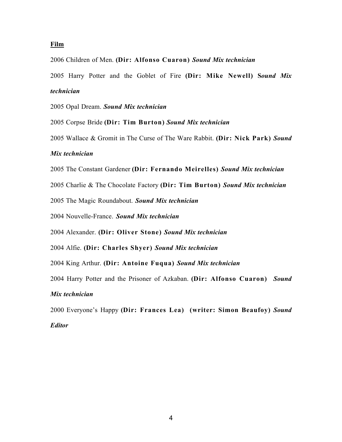## **Film**

Children of Men. **(Dir: Alfonso Cuaron)** *Sound Mix technician*

 Harry Potter and the Goblet of Fire **(Dir: Mike Newell) S***ound Mix technician*

Opal Dream. *Sound Mix technician*

Corpse Bride **(Dir: Tim Burton)** *Sound Mix technician*

Wallace & Gromit in The Curse of The Ware Rabbit. **(Dir: Nick Park)** *Sound*

## *Mix technician*

The Constant Gardener **(Dir: Fernando Meirelles)** *Sound Mix technician*

Charlie & The Chocolate Factory **(Dir: Tim Burton)** *Sound Mix technician*

The Magic Roundabout. *Sound Mix technician*

Nouvelle-France. *Sound Mix technician*

Alexander. **(Dir: Oliver Stone)** *Sound Mix technician*

Alfie. **(Dir: Charles Shyer)** *Sound Mix technician*

King Arthur. **(Dir: Antoine Fuqua)** *Sound Mix technician*

Harry Potter and the Prisoner of Azkaban. **(Dir: Alfonso Cuaron)** *Sound*

# *Mix technician*

Everyone's Happy **(Dir: Frances Lea) (writer: Simon Beaufoy)** *Sound*

# *Editor*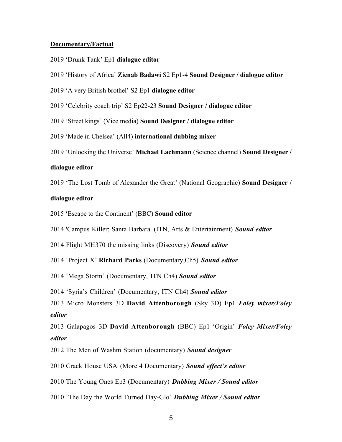#### **Documentary/Factual**

- 2019 'Drunk Tank' Ep1 **dialogue editor**
- 2019 'History of Africa' **Zienab Badawi** S2 Ep1-4 **Sound Designer / dialogue editor**
- 2019 'A very British brothel' S2 Ep1 **dialogue editor**
- 2019 'Celebrity coach trip' S2 Ep22-23 **Sound Designer / dialogue editor**
- 2019 'Street kings' (Vice media) **Sound Designer / dialogue editor**
- 2019 'Made in Chelsea' (All4) **international dubbing mixer**
- 2019 'Unlocking the Universe' **Michael Lachmann** (Science channel) **Sound Designer /**

#### **dialogue editor**

2019 'The Lost Tomb of Alexander the Great' (National Geographic) **Sound Designer /** 

#### **dialogue editor**

- 2015 'Escape to the Continent' (BBC) **Sound editor**
- 2014 'Campus Killer; Santa Barbara' (ITN, Arts & Entertainment) *Sound editor*
- 2014 Flight MH370 the missing links (Discovery) *Sound editor*
- 2014 'Project X' **Richard Parks** (Documentary,Ch5) *Sound editor*
- 2014 'Mega Storm' (Documentary, ITN Ch4) *Sound editor*
- 2014 'Syria's Children' (Documentary, ITN Ch4) *Sound editor*

2013 Micro Monsters 3D **David Attenborough** (Sky 3D) Ep1 *Foley mixer/Foley editor*

2013 Galapagos 3D **David Attenborough** (BBC) Ep1 'Origin' *Foley Mixer/Foley editor*

- 2012 The Men of Washm Station (documentary) *Sound designer*
- 2010 Crack House USA (More 4 Documentary) *Sound effect's editor*
- 2010 The Young Ones Ep3 (Documentary) *Dubbing Mixer / Sound editor*
- 2010 'The Day the World Turned Day-Glo' *Dubbing Mixer / Sound editor*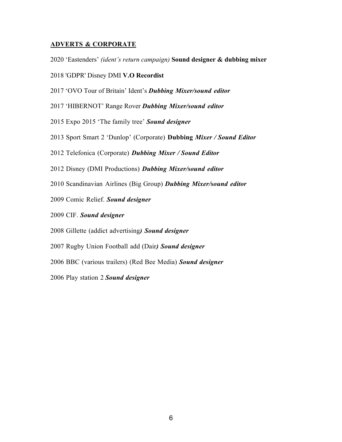## **ADVERTS & CORPORATE**

- 2020 'Eastenders' *(ident's return campaign)* **Sound designer & dubbing mixer**
- 2018 'GDPR' Disney DMI **V.O Recordist**
- 2017 'OVO Tour of Britain' Ident's *Dubbing Mixer/sound editor*
- 2017 'HIBERNOT' Range Rover *Dubbing Mixer/sound editor*
- 2015 Expo 2015 'The family tree' *Sound designer*
- Sport Smart 2 'Dunlop' (Corporate) **Dubbing** *Mixer / Sound Editor*
- Telefonica (Corporate) *Dubbing Mixer / Sound Editor*
- Disney (DMI Productions) *Dubbing Mixer/sound editor*
- Scandinavian Airlines (Big Group) *Dubbing Mixer/sound editor*
- Comic Relief. *Sound designer*
- CIF. *Sound designer*
- Gillette (addict advertising*) Sound designer*
- Rugby Union Football add (Dair*) Sound designer*
- BBC (various trailers) (Red Bee Media) *Sound designer*

Play station 2 *Sound designer*